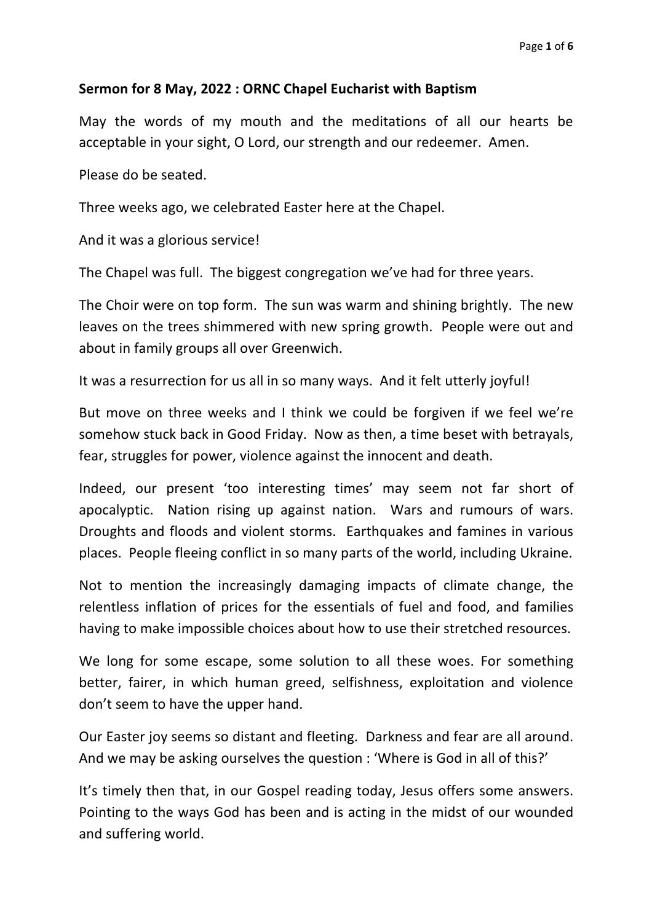# **Sermon for 8 May, 2022 : ORNC Chapel Eucharist with Baptism**

May the words of my mouth and the meditations of all our hearts be acceptable in your sight, O Lord, our strength and our redeemer. Amen.

Please do be seated.

Three weeks ago, we celebrated Easter here at the Chapel.

And it was a glorious service!

The Chapel was full. The biggest congregation we've had for three years.

The Choir were on top form. The sun was warm and shining brightly. The new leaves on the trees shimmered with new spring growth. People were out and about in family groups all over Greenwich.

It was a resurrection for us all in so many ways. And it felt utterly joyful!

But move on three weeks and I think we could be forgiven if we feel we're somehow stuck back in Good Friday. Now as then, a time beset with betrayals, fear, struggles for power, violence against the innocent and death.

Indeed, our present 'too interesting times' may seem not far short of apocalyptic. Nation rising up against nation. Wars and rumours of wars. Droughts and floods and violent storms. Earthquakes and famines in various places. People fleeing conflict in so many parts of the world, including Ukraine.

Not to mention the increasingly damaging impacts of climate change, the relentless inflation of prices for the essentials of fuel and food, and families having to make impossible choices about how to use their stretched resources.

We long for some escape, some solution to all these woes. For something better, fairer, in which human greed, selfishness, exploitation and violence don't seem to have the upper hand.

Our Easter joy seems so distant and fleeting. Darkness and fear are all around. And we may be asking ourselves the question : 'Where is God in all of this?'

It's timely then that, in our Gospel reading today, Jesus offers some answers. Pointing to the ways God has been and is acting in the midst of our wounded and suffering world.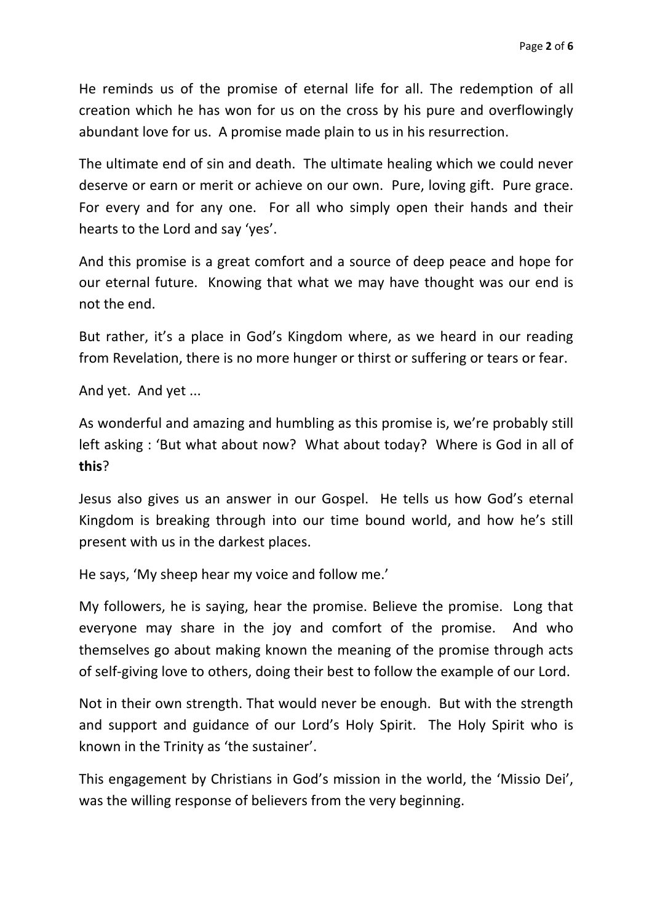He reminds us of the promise of eternal life for all. The redemption of all creation which he has won for us on the cross by his pure and overflowingly abundant love for us. A promise made plain to us in his resurrection.

The ultimate end of sin and death. The ultimate healing which we could never deserve or earn or merit or achieve on our own. Pure, loving gift. Pure grace. For every and for any one. For all who simply open their hands and their hearts to the Lord and say 'yes'.

And this promise is a great comfort and a source of deep peace and hope for our eternal future. Knowing that what we may have thought was our end is not the end.

But rather, it's a place in God's Kingdom where, as we heard in our reading from Revelation, there is no more hunger or thirst or suffering or tears or fear.

And yet. And yet ...

As wonderful and amazing and humbling as this promise is, we're probably still left asking : 'But what about now? What about today? Where is God in all of **this**?

Jesus also gives us an answer in our Gospel. He tells us how God's eternal Kingdom is breaking through into our time bound world, and how he's still present with us in the darkest places.

He says, 'My sheep hear my voice and follow me.'

My followers, he is saying, hear the promise. Believe the promise. Long that everyone may share in the joy and comfort of the promise. And who themselves go about making known the meaning of the promise through acts of self-giving love to others, doing their best to follow the example of our Lord.

Not in their own strength. That would never be enough. But with the strength and support and guidance of our Lord's Holy Spirit. The Holy Spirit who is known in the Trinity as 'the sustainer'.

This engagement by Christians in God's mission in the world, the 'Missio Dei', was the willing response of believers from the very beginning.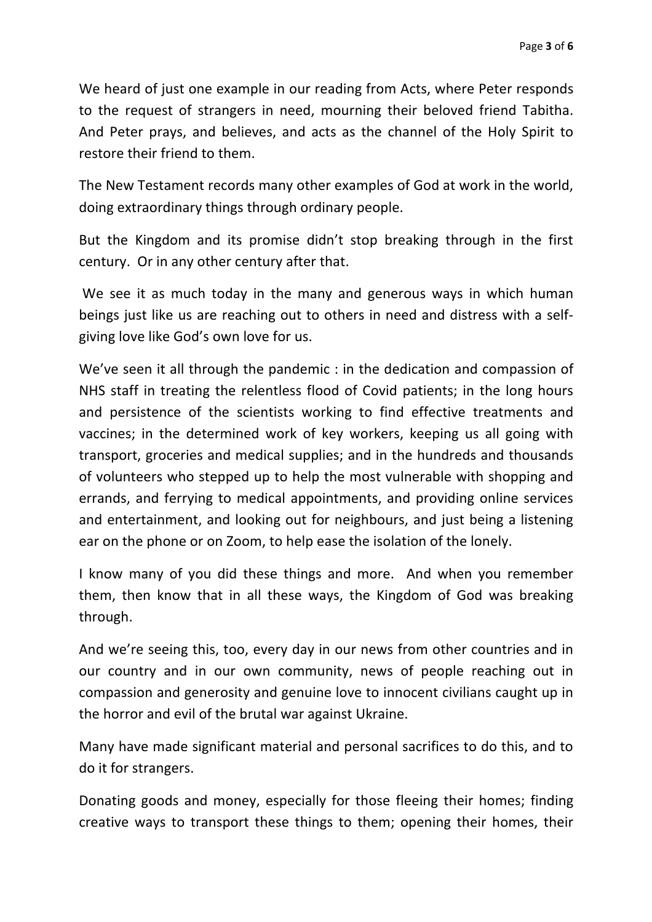We heard of just one example in our reading from Acts, where Peter responds to the request of strangers in need, mourning their beloved friend Tabitha. And Peter prays, and believes, and acts as the channel of the Holy Spirit to restore their friend to them.

The New Testament records many other examples of God at work in the world, doing extraordinary things through ordinary people.

But the Kingdom and its promise didn't stop breaking through in the first century. Or in any other century after that.

We see it as much today in the many and generous ways in which human beings just like us are reaching out to others in need and distress with a selfgiving love like God's own love for us.

We've seen it all through the pandemic : in the dedication and compassion of NHS staff in treating the relentless flood of Covid patients; in the long hours and persistence of the scientists working to find effective treatments and vaccines; in the determined work of key workers, keeping us all going with transport, groceries and medical supplies; and in the hundreds and thousands of volunteers who stepped up to help the most vulnerable with shopping and errands, and ferrying to medical appointments, and providing online services and entertainment, and looking out for neighbours, and just being a listening ear on the phone or on Zoom, to help ease the isolation of the lonely.

I know many of you did these things and more. And when you remember them, then know that in all these ways, the Kingdom of God was breaking through.

And we're seeing this, too, every day in our news from other countries and in our country and in our own community, news of people reaching out in compassion and generosity and genuine love to innocent civilians caught up in the horror and evil of the brutal war against Ukraine.

Many have made significant material and personal sacrifices to do this, and to do it for strangers.

Donating goods and money, especially for those fleeing their homes; finding creative ways to transport these things to them; opening their homes, their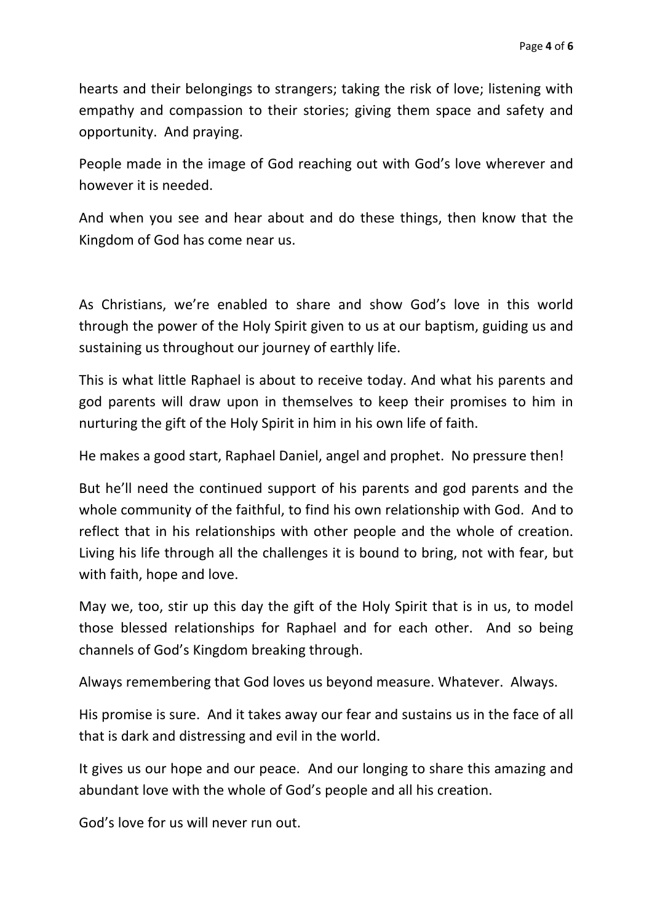hearts and their belongings to strangers; taking the risk of love; listening with empathy and compassion to their stories; giving them space and safety and opportunity. And praying.

People made in the image of God reaching out with God's love wherever and however it is needed.

And when you see and hear about and do these things, then know that the Kingdom of God has come near us.

As Christians, we're enabled to share and show God's love in this world through the power of the Holy Spirit given to us at our baptism, guiding us and sustaining us throughout our journey of earthly life.

This is what little Raphael is about to receive today. And what his parents and god parents will draw upon in themselves to keep their promises to him in nurturing the gift of the Holy Spirit in him in his own life of faith.

He makes a good start, Raphael Daniel, angel and prophet. No pressure then!

But he'll need the continued support of his parents and god parents and the whole community of the faithful, to find his own relationship with God. And to reflect that in his relationships with other people and the whole of creation. Living his life through all the challenges it is bound to bring, not with fear, but with faith, hope and love.

May we, too, stir up this day the gift of the Holy Spirit that is in us, to model those blessed relationships for Raphael and for each other. And so being channels of God's Kingdom breaking through.

Always remembering that God loves us beyond measure. Whatever. Always.

His promise is sure. And it takes away our fear and sustains us in the face of all that is dark and distressing and evil in the world.

It gives us our hope and our peace. And our longing to share this amazing and abundant love with the whole of God's people and all his creation.

God's love for us will never run out.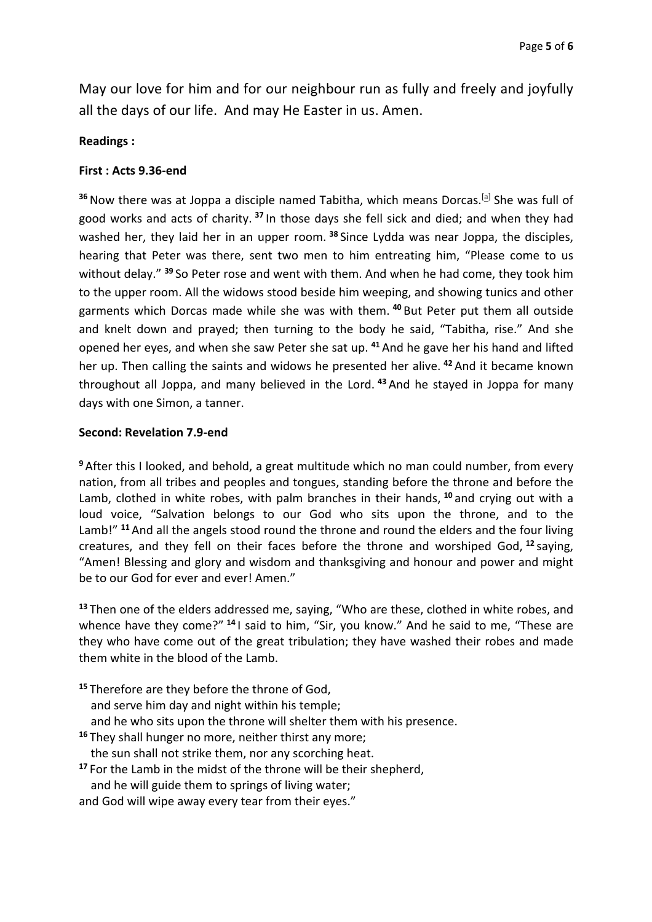May our love for him and for our neighbour run as fully and freely and joyfully all the days of our life. And may He Easter in us. Amen.

## **Readings :**

# **First : Acts 9.36-end**

<sup>36</sup> Now there was at Joppa a disciple named Tabitha, which means Dorcas.<sup>[a]</sup> She was full of good works and acts of charity. **<sup>37</sup>** In those days she fell sick and died; and when they had washed her, they laid her in an upper room. **<sup>38</sup>** Since Lydda was near Joppa, the disciples, hearing that Peter was there, sent two men to him entreating him, "Please come to us without delay." **<sup>39</sup>** So Peter rose and went with them. And when he had come, they took him to the upper room. All the widows stood beside him weeping, and showing tunics and other garments which Dorcas made while she was with them. **<sup>40</sup>** But Peter put them all outside and knelt down and prayed; then turning to the body he said, "Tabitha, rise." And she opened her eyes, and when she saw Peter she sat up. **<sup>41</sup>** And he gave her his hand and lifted her up. Then calling the saints and widows he presented her alive. **<sup>42</sup>** And it became known throughout all Joppa, and many believed in the Lord. **<sup>43</sup>** And he stayed in Joppa for many days with one Simon, a tanner.

## **Second: Revelation 7.9-end**

**<sup>9</sup>** After this I looked, and behold, a great multitude which no man could number, from every nation, from all tribes and peoples and tongues, standing before the throne and before the Lamb, clothed in white robes, with palm branches in their hands, **<sup>10</sup>** and crying out with a loud voice, "Salvation belongs to our God who sits upon the throne, and to the Lamb!" **<sup>11</sup>** And all the angels stood round the throne and round the elders and the four living creatures, and they fell on their faces before the throne and worshiped God, **<sup>12</sup>** saying, "Amen! Blessing and glory and wisdom and thanksgiving and honour and power and might be to our God for ever and ever! Amen."

**<sup>13</sup>** Then one of the elders addressed me, saying, "Who are these, clothed in white robes, and whence have they come?" **<sup>14</sup>** I said to him, "Sir, you know." And he said to me, "These are they who have come out of the great tribulation; they have washed their robes and made them white in the blood of the Lamb.

- **<sup>15</sup>** Therefore are they before the throne of God, and serve him day and night within his temple; and he who sits upon the throne will shelter them with his presence. **<sup>16</sup>** They shall hunger no more, neither thirst any more;
- the sun shall not strike them, nor any scorching heat.
- **<sup>17</sup>** For the Lamb in the midst of the throne will be their shepherd, and he will guide them to springs of living water;

and God will wipe away every tear from their eyes."